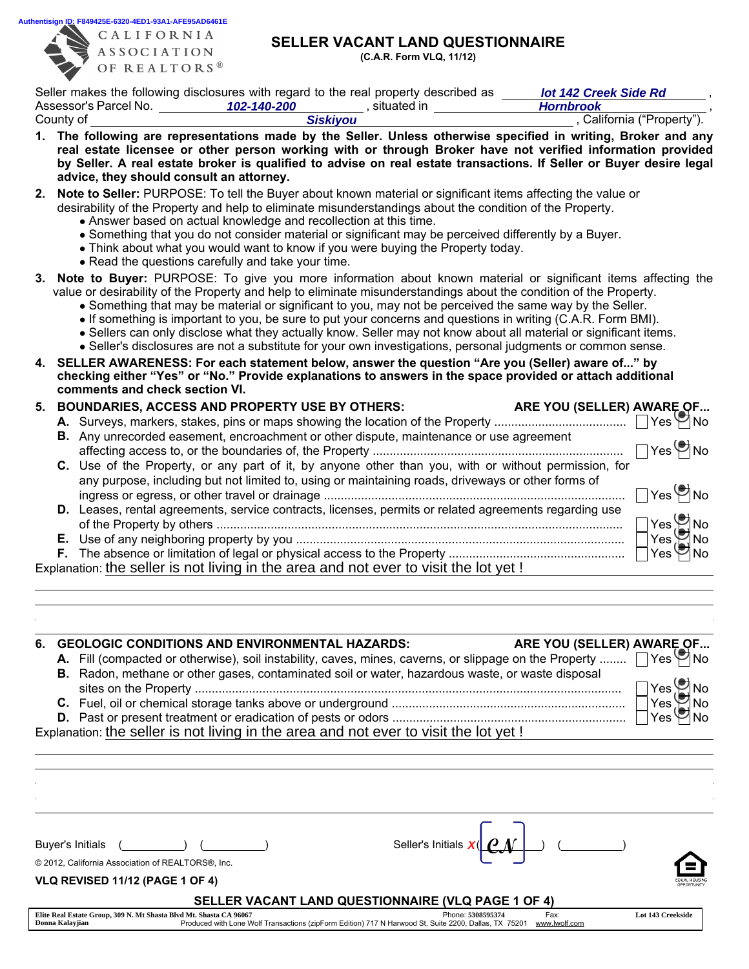**Authentisign ID: F849425E-6320-4ED1-93A1-AFE95AD6461E**<br>  $A I I F O P N I A$ 



**Donna Kalayjian**

CALIFORNIA **ASSOCIATION** OF REALTORS<sup>®</sup>

## SELLER VACANT LAND QUESTIONNAIRE

*lot 142 Creek Side Rd*

(C.A.R. Form VLQ, 11/12)

Seller makes the following disclosures with regard to the real property described as *lot 142 Creek Side Rd*,

|    | Assessor's Parcel No.                                                        | 102-140-200                                                                                                             | ___, situated in                                                                                                                                                                                     | <b>Hornbrook</b>                                                                                                                                                                                                                                                                                                                                                                                                                                                                                                                                                                                                                                                                                       |                                                                                            |
|----|------------------------------------------------------------------------------|-------------------------------------------------------------------------------------------------------------------------|------------------------------------------------------------------------------------------------------------------------------------------------------------------------------------------------------|--------------------------------------------------------------------------------------------------------------------------------------------------------------------------------------------------------------------------------------------------------------------------------------------------------------------------------------------------------------------------------------------------------------------------------------------------------------------------------------------------------------------------------------------------------------------------------------------------------------------------------------------------------------------------------------------------------|--------------------------------------------------------------------------------------------|
|    | County of                                                                    |                                                                                                                         | <b>Siskiyou</b>                                                                                                                                                                                      |                                                                                                                                                                                                                                                                                                                                                                                                                                                                                                                                                                                                                                                                                                        | , California ("Property").                                                                 |
|    | advice, they should consult an attorney.                                     |                                                                                                                         |                                                                                                                                                                                                      | 1. The following are representations made by the Seller. Unless otherwise specified in writing, Broker and any<br>real estate licensee or other person working with or through Broker have not verified information provided<br>by Seller. A real estate broker is qualified to advise on real estate transactions. If Seller or Buyer desire legal                                                                                                                                                                                                                                                                                                                                                    |                                                                                            |
|    |                                                                              | • Answer based on actual knowledge and recollection at this time.<br>• Read the questions carefully and take your time. | desirability of the Property and help to eliminate misunderstandings about the condition of the Property.<br>• Think about what you would want to know if you were buying the Property today.        | 2. Note to Seller: PURPOSE: To tell the Buyer about known material or significant items affecting the value or<br>. Something that you do not consider material or significant may be perceived differently by a Buyer.                                                                                                                                                                                                                                                                                                                                                                                                                                                                                |                                                                                            |
|    |                                                                              |                                                                                                                         |                                                                                                                                                                                                      | 3. Note to Buyer: PURPOSE: To give you more information about known material or significant items affecting the<br>value or desirability of the Property and help to eliminate misunderstandings about the condition of the Property.<br>. Something that may be material or significant to you, may not be perceived the same way by the Seller.<br>• If something is important to you, be sure to put your concerns and questions in writing (C.A.R. Form BMI).<br>. Sellers can only disclose what they actually know. Seller may not know about all material or significant items.<br>• Seller's disclosures are not a substitute for your own investigations, personal judgments or common sense. |                                                                                            |
| 4. | comments and check section VI.                                               |                                                                                                                         |                                                                                                                                                                                                      | SELLER AWARENESS: For each statement below, answer the question "Are you (Seller) aware of" by<br>checking either "Yes" or "No." Provide explanations to answers in the space provided or attach additional                                                                                                                                                                                                                                                                                                                                                                                                                                                                                            |                                                                                            |
| 5. |                                                                              | <b>BOUNDARIES, ACCESS AND PROPERTY USE BY OTHERS:</b>                                                                   |                                                                                                                                                                                                      | ARE YOU (SELLER) AWARE OF                                                                                                                                                                                                                                                                                                                                                                                                                                                                                                                                                                                                                                                                              |                                                                                            |
|    |                                                                              |                                                                                                                         | <b>B.</b> Any unrecorded easement, encroachment or other dispute, maintenance or use agreement<br>any purpose, including but not limited to, using or maintaining roads, driveways or other forms of | C. Use of the Property, or any part of it, by anyone other than you, with or without permission, for                                                                                                                                                                                                                                                                                                                                                                                                                                                                                                                                                                                                   | $\Box$ Yes $\bigcirc$ No                                                                   |
|    |                                                                              |                                                                                                                         | Explanation: the seller is not living in the area and not ever to visit the lot yet !                                                                                                                | D. Leases, rental agreements, service contracts, licenses, permits or related agreements regarding use                                                                                                                                                                                                                                                                                                                                                                                                                                                                                                                                                                                                 | $\Box$ Yes $\bigcirc$ No<br>$Yes \bigcirc$ No<br>$Yes \bigotimes$ No<br>$Yes \n\bullet No$ |
|    | 6. GEOLOGIC CONDITIONS AND ENVIRONMENTAL HAZARDS:                            |                                                                                                                         | B. Radon, methane or other gases, contaminated soil or water, hazardous waste, or waste disposal<br>Explanation: the seller is not living in the area and not ever to visit the lot yet !            | ARE YOU (SELLER) AWARE OF<br>A. Fill (compacted or otherwise), soil instability, caves, mines, caverns, or slippage on the Property                                                                                                                                                                                                                                                                                                                                                                                                                                                                                                                                                                    | $Yes \nightharpoonup$ No<br>$Yes \bigcirc$ No<br>$Yes$ $Yes$ $No$ $Yes$ $No$               |
|    |                                                                              |                                                                                                                         |                                                                                                                                                                                                      |                                                                                                                                                                                                                                                                                                                                                                                                                                                                                                                                                                                                                                                                                                        |                                                                                            |
|    | <b>Buyer's Initials</b><br>© 2012, California Association of REALTORS®, Inc. |                                                                                                                         | Seller's Initials $x($                                                                                                                                                                               |                                                                                                                                                                                                                                                                                                                                                                                                                                                                                                                                                                                                                                                                                                        |                                                                                            |
|    | VLQ REVISED 11/12 (PAGE 1 OF 4)                                              |                                                                                                                         |                                                                                                                                                                                                      |                                                                                                                                                                                                                                                                                                                                                                                                                                                                                                                                                                                                                                                                                                        |                                                                                            |
|    |                                                                              |                                                                                                                         | SELLER VACANT LAND QUESTIONNAIRE (VLQ PAGE 1 OF 4)                                                                                                                                                   |                                                                                                                                                                                                                                                                                                                                                                                                                                                                                                                                                                                                                                                                                                        |                                                                                            |

Phone: Fax: Produced with Lone Wolf Transactions (zipForm Edition) 717 N Harwood St, Suite 2200, Dallas, TX 75201 www.lwolf.com **Elite Real Estate Group, 309 N. Mt Shasta Blvd Mt. Shasta CA 96067 5308595374 Lot 143 Creekside**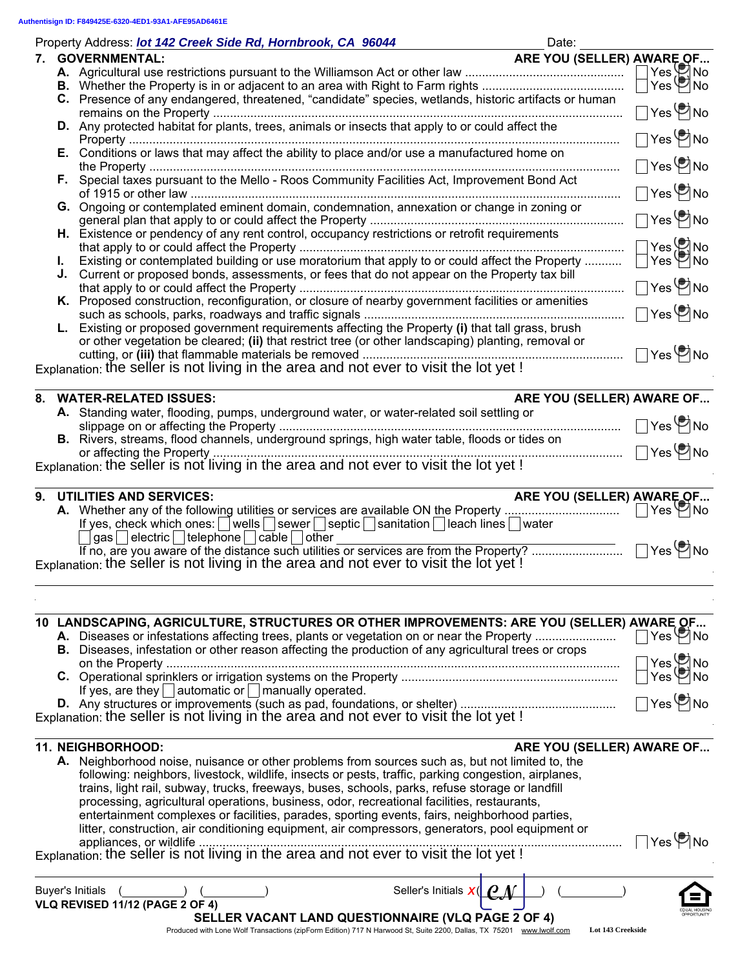$\mathbb{R}^2$ 

| Property Address: lot 142 Creek Side Rd, Hornbrook, CA 96044                                          | Date:                             |
|-------------------------------------------------------------------------------------------------------|-----------------------------------|
| <b>GOVERNMENTAL:</b><br>7.                                                                            | ARE YOU (SELLER) AWARE OF         |
|                                                                                                       | $Yes$ No                          |
|                                                                                                       | $Yes \n\heartsuit$ No             |
| C. Presence of any endangered, threatened, "candidate" species, wetlands, historic artifacts or human | $\bigcap$ Yes $\bigcircledast$ No |
| D. Any protected habitat for plants, trees, animals or insects that apply to or could affect the      |                                   |
|                                                                                                       | $\bigcap$ Yes $\bigcircledast$ No |
|                                                                                                       |                                   |
|                                                                                                       | $\Box$ Yes $\bigcirc$ No          |
| F. Special taxes pursuant to the Mello - Roos Community Facilities Act, Improvement Bond Act          | $\Box$ Yes $\bigcircledast$ No    |
| G. Ongoing or contemplated eminent domain, condemnation, annexation or change in zoning or            |                                   |
|                                                                                                       | $\Box$ Yes $\bigcirc$ No          |
| H. Existence or pendency of any rent control, occupancy restrictions or retrofit requirements         |                                   |
|                                                                                                       | $Yes$ No                          |
| Existing or contemplated building or use moratorium that apply to or could affect the Property        | $Yes$ No                          |
| J. Current or proposed bonds, assessments, or fees that do not appear on the Property tax bill        |                                   |
|                                                                                                       | $\bigcap$ Yes $\bigcircledast$ No |
| K. Proposed construction, reconfiguration, or closure of nearby government facilities or amenities    |                                   |
|                                                                                                       | ∃Yes ( No                         |
| L. Existing or proposed government requirements affecting the Property (i) that tall grass, brush     |                                   |
| or other vegetation be cleared; (ii) that restrict tree (or other landscaping) planting, removal or   | ∣Yes ØNo                          |
| Explanation: the seller is not living in the area and not ever to visit the lot yet !                 |                                   |
|                                                                                                       |                                   |
| <b>WATER-RELATED ISSUES:</b><br>8.                                                                    | ARE YOU (SELLER) AWARE OF         |
| A. Standing water, flooding, pumps, underground water, or water-related soil settling or              |                                   |
|                                                                                                       | $ {\rm Yes}$ $\bullet$ No         |
| <b>B</b> Rivers streams flood channels underground springs high water table floods or tides on        |                                   |

|                                                                                               | .                        |
|-----------------------------------------------------------------------------------------------|--------------------------|
| B. Rivers, streams, flood channels, underground springs, high water table, floods or tides on |                          |
|                                                                                               | $\Box$ Yes $\bigcirc$ No |
| Explanation: the seller is not living in the area and not ever to visit the lot yet !         |                          |

| 9. UTILITIES AND SERVICES:<br>ARE YOU (SELLER) AWARE OF                              |                                 |
|--------------------------------------------------------------------------------------|---------------------------------|
|                                                                                      | ∃Yes ັ⊠ No                      |
| If yes, check which ones: Vells Sewer Septic Sanitation Reach lines Nuater           |                                 |
| $\lceil$ gas $\lceil$ electric $\lceil$ telephone $\lceil$ cable $\lceil$ other      |                                 |
|                                                                                      | $\Box$ Yes $\bm{\heartsuit}$ No |
| Explanation: the seller is not living in the area and not ever to visit the lot yet! |                                 |

| 10 LANDSCAPING, AGRICULTURE, STRUCTURES OR OTHER IMPROVEMENTS: ARE YOU (SELLER) AWARE OF<br>Yes VI No<br><b>B.</b> Diseases, infestation or other reason affecting the production of any agricultural trees or crops<br>Yes ONO<br>Yes V No<br>If yes, are they $ $ automatic or $ $ manually operated.<br>$Yes \bigcirc$ No<br>Explanation: the seller is not living in the area and not ever to visit the lot yet!                                       |
|------------------------------------------------------------------------------------------------------------------------------------------------------------------------------------------------------------------------------------------------------------------------------------------------------------------------------------------------------------------------------------------------------------------------------------------------------------|
| ARE YOU (SELLER) AWARE OF<br>11. NEIGHBORHOOD:<br>A. Neighborhood noise, nuisance or other problems from sources such as, but not limited to, the<br>following: neighbors, livestock, wildlife, insects or pests, traffic, parking congestion, airplanes,<br>trains, light rail, subway, trucks, freeways, buses, schools, parks, refuse storage or landfill<br>processing, agricultural operations, business, odor, recreational facilities, restaurants, |
| entertainment complexes or facilities, parades, sporting events, fairs, neighborhood parties,<br>litter, construction, air conditioning equipment, air compressors, generators, pool equipment or<br>Yes CNo<br>appliances, or wildlife.<br>Explanation: the seller is not living in the area and not ever to visit the lot yet !                                                                                                                          |
|                                                                                                                                                                                                                                                                                                                                                                                                                                                            |
| Seller's Initials <b>X</b> ( <b>CM</b><br><b>Buyer's Initials</b><br>VLQ REVISED 11/12 (PAGE 2 OF 4)<br><b>SELLER VACANT LAND QUESTIONNAIRE (VLQ PAGE 2 OF 4)</b><br>Produced with Lone Wolf Transactions (zipForm Edition) 717 N Harwood St, Suite 2200, Dallas, TX 75201 www.lwolf.com<br>Lot 143 Creekside                                                                                                                                              |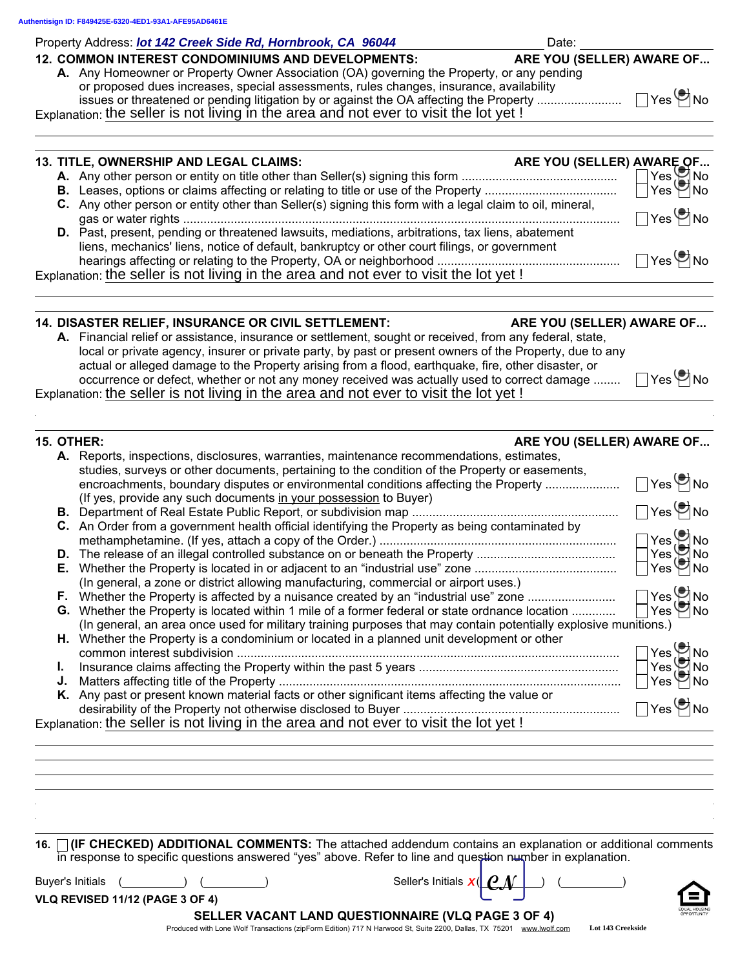Property Address: *lot 142 Creek Side Rd, Hornbrook, CA 96044* Property Address: Date:

| <b>12. COMMON INTEREST CONDOMINIUMS AND DEVELOPMENTS:</b>                                  | ARE YOU (SELLER) AWARE OF |                               |
|--------------------------------------------------------------------------------------------|---------------------------|-------------------------------|
| A. Any Homeowner or Property Owner Association (OA) governing the Property, or any pending |                           |                               |
| or proposed dues increases, special assessments, rules changes, insurance, availability    |                           |                               |
| issues or threatened or pending litigation by or against the OA affecting the Property     |                           | $\bigcap$ Yes $\bigotimes$ No |
| Evalenction: the seller is not living in the area and not ever to visit the lot vet I      |                           |                               |

Explanation: the seller is not living in the area and not ever to visit the lot yet !

| 13. TITLE, OWNERSHIP AND LEGAL CLAIMS:                                                                                                                                                           |                                   |
|--------------------------------------------------------------------------------------------------------------------------------------------------------------------------------------------------|-----------------------------------|
|                                                                                                                                                                                                  |                                   |
|                                                                                                                                                                                                  |                                   |
| C. Any other person or entity other than Seller(s) signing this form with a legal claim to oil, mineral,                                                                                         | $\Box$ Yes $\bm{\mathfrak{S}}$ No |
| D. Past, present, pending or threatened lawsuits, mediations, arbitrations, tax liens, abatement<br>liens, mechanics' liens, notice of default, bankruptcy or other court filings, or government |                                   |
| Explanation: the seller is not living in the area and not ever to visit the lot yet !                                                                                                            | $\Box$ Yes $\bigcirc$ No          |
|                                                                                                                                                                                                  |                                   |

| <b>14. DISASTER RELIEF, INSURANCE OR CIVIL SETTLEMENT:</b>                                               | ARE YOU (SELLER) AWARE OF |
|----------------------------------------------------------------------------------------------------------|---------------------------|
| A. Financial relief or assistance, insurance or settlement, sought or received, from any federal, state, |                           |
| local or private agency, insurer or private party, by past or present owners of the Property, due to any |                           |
| actual or alleged damage to the Property arising from a flood, earthquake, fire, other disaster, or      |                           |
| occurrence or defect, whether or not any money received was actually used to correct damage              | $\Box$ Yes $\bigcirc$ No  |
| Explanation: the seller is not living in the area and not ever to visit the lot yet !                    |                           |

|    | ARE YOU (SELLER) AWARE OF<br><b>15. OTHER:</b>                                                                   |                                  |
|----|------------------------------------------------------------------------------------------------------------------|----------------------------------|
|    | A. Reports, inspections, disclosures, warranties, maintenance recommendations, estimates,                        |                                  |
|    | studies, surveys or other documents, pertaining to the condition of the Property or easements,                   |                                  |
|    | encroachments, boundary disputes or environmental conditions affecting the Property                              | $\Box$ Yes $\bigcirc$ No         |
|    | (If yes, provide any such documents in your possession to Buyer)                                                 |                                  |
|    |                                                                                                                  | $\Box$ Yes $\bigcirc$ No         |
|    | C. An Order from a government health official identifying the Property as being contaminated by                  |                                  |
|    |                                                                                                                  |                                  |
|    |                                                                                                                  |                                  |
|    |                                                                                                                  | Yes Mo<br>Yes Mo<br>Yes Mo       |
|    | (In general, a zone or district allowing manufacturing, commercial or airport uses.)                             |                                  |
|    |                                                                                                                  |                                  |
|    | G. Whether the Property is located within 1 mile of a former federal or state ordnance location                  | Yes Mo<br>Yes Mo                 |
|    | (In general, an area once used for military training purposes that may contain potentially explosive munitions.) |                                  |
|    | H. Whether the Property is a condominium or located in a planned unit development or other                       |                                  |
|    | common interest subdivision                                                                                      |                                  |
| L. |                                                                                                                  | Yes ● No<br>Yes ● No<br>Yes ● No |
| J. |                                                                                                                  |                                  |
|    | K. Any past or present known material facts or other significant items affecting the value or                    |                                  |
|    | desirability of the Property not otherwise disclosed to Buyer                                                    | $Yes \n\bullet$ No               |
|    | Explanation: the seller is not living in the area and not ever to visit the lot yet !                            |                                  |
|    |                                                                                                                  |                                  |

| 16. <b>If CHECKED) ADDITIONAL COMMENTS:</b> The attached addendum contains an explanation or additional comments |                                                                                                           |  |  |  |
|------------------------------------------------------------------------------------------------------------------|-----------------------------------------------------------------------------------------------------------|--|--|--|
|                                                                                                                  | in response to specific questions answered "yes" above. Refer to line and question number in explanation. |  |  |  |

| Buver's Initials | $X(\lfloor \mathcal{C} \rfloor)$<br>.<br>eller'sذ<br>Initials<br>л |  |
|------------------|--------------------------------------------------------------------|--|
|------------------|--------------------------------------------------------------------|--|

| Seller's Initials $x(\vert \boldsymbol \varrho_M)$ |  |  |
|----------------------------------------------------|--|--|
|                                                    |  |  |



VLQ REVISED 11/12 (PAGE 3 OF 4)

SELLER VACANT LAND QUESTIONNAIRE (VLQ PAGE 3 OF 4)

Produced with Lone Wolf Transactions (zipForm Edition) 717 N Harwood St, Suite 2200, Dallas, TX 75201 www.lwolf.com **Lot 143 Creekside**